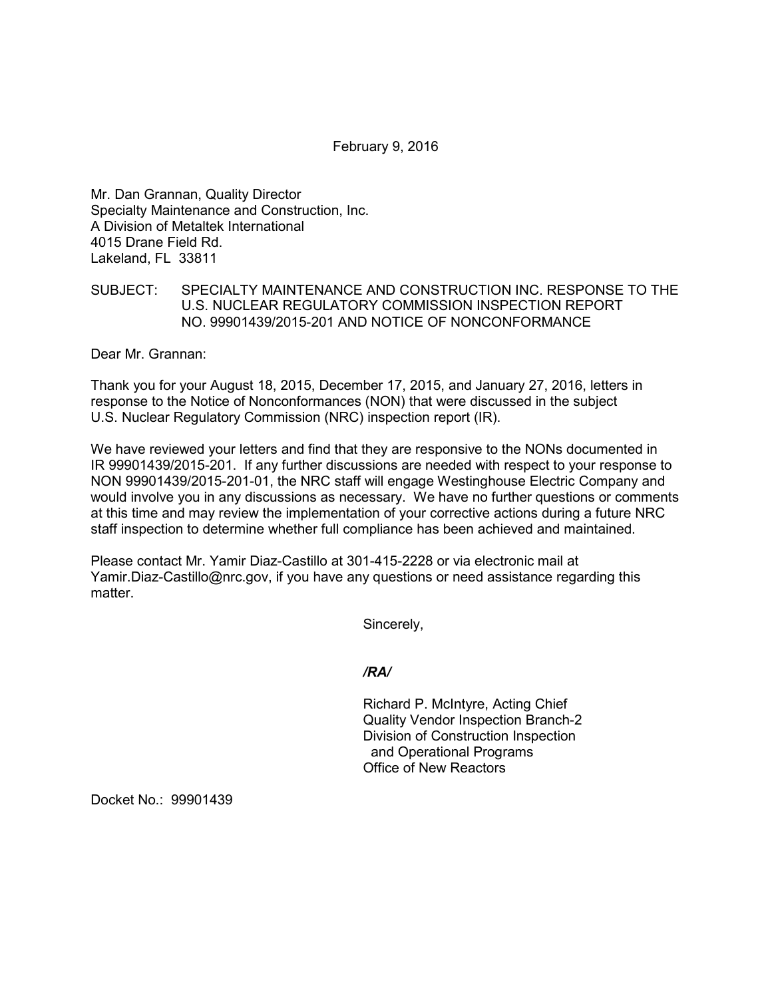February 9, 2016

Mr. Dan Grannan, Quality Director Specialty Maintenance and Construction, Inc. A Division of Metaltek International 4015 Drane Field Rd. Lakeland, FL 33811

## SUBJECT: SPECIALTY MAINTENANCE AND CONSTRUCTION INC. RESPONSE TO THE U.S. NUCLEAR REGULATORY COMMISSION INSPECTION REPORT NO. 99901439/2015-201 AND NOTICE OF NONCONFORMANCE

Dear Mr. Grannan:

Thank you for your August 18, 2015, December 17, 2015, and January 27, 2016, letters in response to the Notice of Nonconformances (NON) that were discussed in the subject U.S. Nuclear Regulatory Commission (NRC) inspection report (IR).

We have reviewed your letters and find that they are responsive to the NONs documented in IR 99901439/2015-201. If any further discussions are needed with respect to your response to NON 99901439/2015-201-01, the NRC staff will engage Westinghouse Electric Company and would involve you in any discussions as necessary. We have no further questions or comments at this time and may review the implementation of your corrective actions during a future NRC staff inspection to determine whether full compliance has been achieved and maintained.

Please contact Mr. Yamir Diaz-Castillo at 301-415-2228 or via electronic mail at Yamir.Diaz-Castillo@nrc.gov, if you have any questions or need assistance regarding this matter

Sincerely,

*/RA/*

Richard P. McIntyre, Acting Chief Quality Vendor Inspection Branch-2 Division of Construction Inspection and Operational Programs Office of New Reactors

Docket No.: 99901439